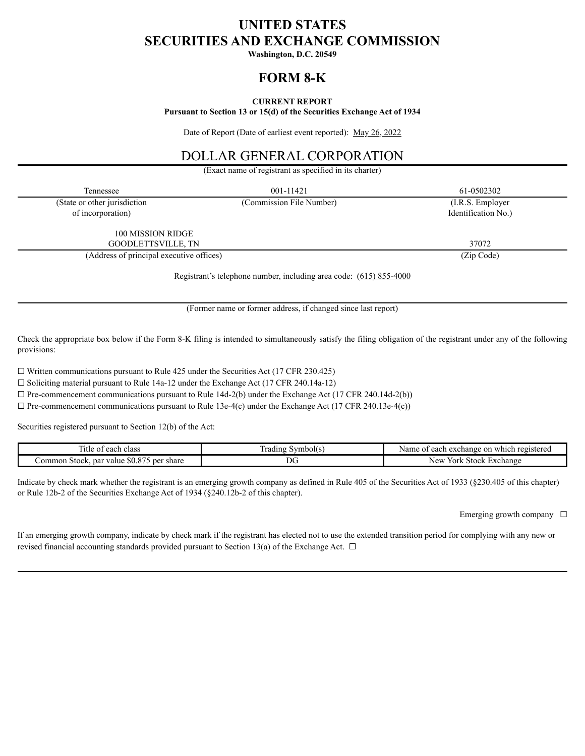# **UNITED STATES SECURITIES AND EXCHANGE COMMISSION**

**Washington, D.C. 20549**

# **FORM 8-K**

### **CURRENT REPORT**

**Pursuant to Section 13 or 15(d) of the Securities Exchange Act of 1934**

Date of Report (Date of earliest event reported): May 26, 2022

# DOLLAR GENERAL CORPORATION

(Exact name of registrant as specified in its charter)

| Tennessee                                | 001-11421                | 61-0502302          |
|------------------------------------------|--------------------------|---------------------|
| (State or other jurisdiction             | (Commission File Number) | (I.R.S. Employer    |
| of incorporation)                        |                          | Identification No.) |
| 100 MISSION RIDGE                        |                          |                     |
| GOODLETTSVILLE, TN                       |                          | 37072               |
| (Address of principal executive offices) |                          | (Zip Code)          |
|                                          |                          |                     |

Registrant's telephone number, including area code: (615) 855-4000

(Former name or former address, if changed since last report)

Check the appropriate box below if the Form 8-K filing is intended to simultaneously satisfy the filing obligation of the registrant under any of the following provisions:

 $\Box$  Written communications pursuant to Rule 425 under the Securities Act (17 CFR 230.425)

☐ Soliciting material pursuant to Rule 14a-12 under the Exchange Act (17 CFR 240.14a-12)

 $\Box$  Pre-commencement communications pursuant to Rule 14d-2(b) under the Exchange Act (17 CFR 240.14d-2(b))

 $\Box$  Pre-commencement communications pursuant to Rule 13e-4(c) under the Exchange Act (17 CFR 240.13e-4(c))

Securities registered pursuant to Section 12(b) of the Act:

| ---<br>.itle<br>class<br>each<br>. OT                                                                          | symbol(s)<br>rading | i exchange on which.<br>registered<br>each<br>Name |
|----------------------------------------------------------------------------------------------------------------|---------------------|----------------------------------------------------|
| 075<br>$\triangle$ $\triangle$<br>ommon<br>share<br>par<br>. Stock.<br><sup>.</sup> value<br>per<br>.NU.O<br>. | DG.                 | York<br>≾xchange<br>New<br>' Stock                 |

Indicate by check mark whether the registrant is an emerging growth company as defined in Rule 405 of the Securities Act of 1933 (§230.405 of this chapter) or Rule 12b-2 of the Securities Exchange Act of 1934 (§240.12b-2 of this chapter).

Emerging growth company  $\Box$ 

If an emerging growth company, indicate by check mark if the registrant has elected not to use the extended transition period for complying with any new or revised financial accounting standards provided pursuant to Section 13(a) of the Exchange Act.  $\Box$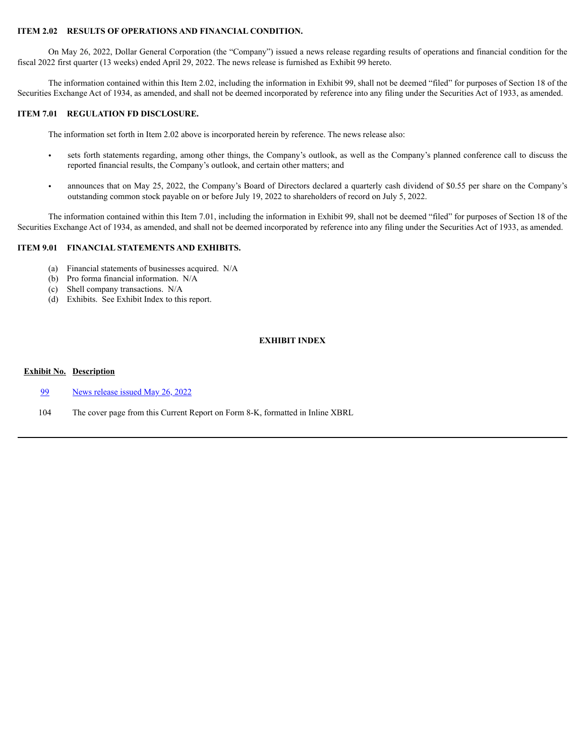### **ITEM 2.02 RESULTS OF OPERATIONS AND FINANCIAL CONDITION.**

On May 26, 2022, Dollar General Corporation (the "Company") issued a news release regarding results of operations and financial condition for the fiscal 2022 first quarter (13 weeks) ended April 29, 2022. The news release is furnished as Exhibit 99 hereto.

The information contained within this Item 2.02, including the information in Exhibit 99, shall not be deemed "filed" for purposes of Section 18 of the Securities Exchange Act of 1934, as amended, and shall not be deemed incorporated by reference into any filing under the Securities Act of 1933, as amended.

#### **ITEM 7.01 REGULATION FD DISCLOSURE.**

The information set forth in Item 2.02 above is incorporated herein by reference. The news release also:

- sets forth statements regarding, among other things, the Company's outlook, as well as the Company's planned conference call to discuss the reported financial results, the Company's outlook, and certain other matters; and
- announces that on May 25, 2022, the Company's Board of Directors declared a quarterly cash dividend of \$0.55 per share on the Company's outstanding common stock payable on or before July 19, 2022 to shareholders of record on July 5, 2022.

The information contained within this Item 7.01, including the information in Exhibit 99, shall not be deemed "filed" for purposes of Section 18 of the Securities Exchange Act of 1934, as amended, and shall not be deemed incorporated by reference into any filing under the Securities Act of 1933, as amended.

### **ITEM 9.01 FINANCIAL STATEMENTS AND EXHIBITS.**

- (a) Financial statements of businesses acquired. N/A
- (b) Pro forma financial information. N/A
- (c) Shell company transactions. N/A
- (d) Exhibits. See Exhibit Index to this report.

### **EXHIBIT INDEX**

#### **Exhibit No. Description**

- [99](#page-3-0) News [release](#page-3-0) issued May 26, 2022
- 104 The cover page from this Current Report on Form 8-K, formatted in Inline XBRL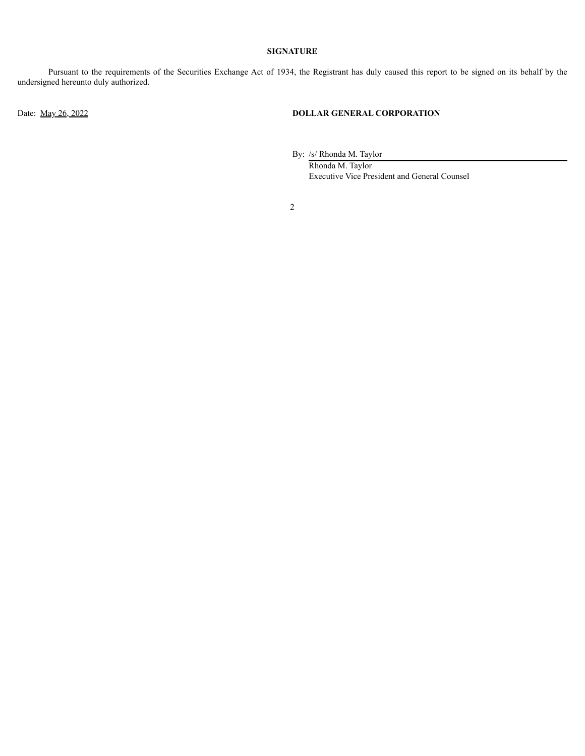#### **SIGNATURE**

Pursuant to the requirements of the Securities Exchange Act of 1934, the Registrant has duly caused this report to be signed on its behalf by the undersigned hereunto duly authorized.

# Date: May 26, 2022 **DOLLAR GENERAL CORPORATION**

By: /s/ Rhonda M. Taylor

Rhonda M. Taylor Executive Vice President and General Counsel

2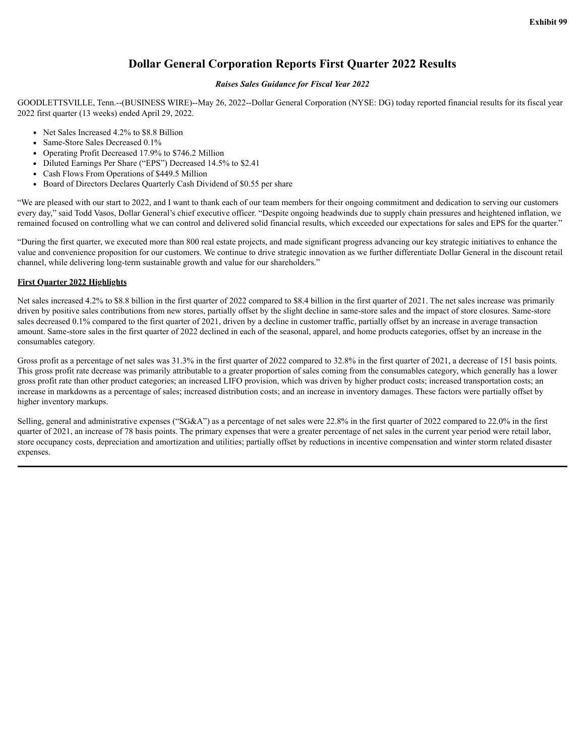# **Dollar General Corporation Reports First Quarter 2022 Results**

#### *Raises Sales Guidance for Fiscal Year 2022*

<span id="page-3-0"></span>GOODLETTSVILLE, Tenn.--(BUSINESS WIRE)--May 26, 2022--Dollar General Corporation (NYSE: DG) today reported financial results for its fiscal year 2022 first quarter (13 weeks) ended April 29, 2022.

- Net Sales Increased 4.2% to \$8.8 Billion
- Same-Store Sales Decreased 0.1%
- Operating Profit Decreased 17.9% to \$746.2 Million
- Diluted Earnings Per Share ("EPS") Decreased 14.5% to \$2.41
- Cash Flows From Operations of \$449.5 Million
- Board of Directors Declares Quarterly Cash Dividend of \$0.55 per share

"We are pleased with our start to 2022, and I want to thank each of our team members for their ongoing commitment and dedication to serving our customers every day," said Todd Vasos, Dollar General's chief executive officer. "Despite ongoing headwinds due to supply chain pressures and heightened inflation, we remained focused on controlling what we can control and delivered solid financial results, which exceeded our expectations for sales and EPS for the quarter."

"During the first quarter, we executed more than 800 real estate projects, and made significant progress advancing our key strategic initiatives to enhance the value and convenience proposition for our customers. We continue to drive strategic innovation as we further differentiate Dollar General in the discount retail channel, while delivering long-term sustainable growth and value for our shareholders."

#### **First Quarter 2022 Highlights**

Net sales increased 4.2% to \$8.8 billion in the first quarter of 2022 compared to \$8.4 billion in the first quarter of 2021. The net sales increase was primarily driven by positive sales contributions from new stores, partially offset by the slight decline in same-store sales and the impact of store closures. Same-store sales decreased 0.1% compared to the first quarter of 2021, driven by a decline in customer traffic, partially offset by an increase in average transaction amount. Same-store sales in the first quarter of 2022 declined in each of the seasonal, apparel, and home products categories, offset by an increase in the consumables category.

Gross profit as a percentage of net sales was  $31.3\%$  in the first quarter of 2022 compared to  $32.8\%$  in the first quarter of 2021, a decrease of 151 basis points. This gross profit rate decrease was primarily attributable to a greater proportion of sales coming from the consumables category, which generally has a lower gross profit rate than other product categories; an increased LIFO provision, which was driven by higher product costs; increased transportation costs; an increase in markdowns as a percentage of sales; increased distribution costs; and an increase in inventory damages. These factors were partially offset by higher inventory markups.

Selling, general and administrative expenses ("SG&A") as a percentage of net sales were 22.8% in the first quarter of 2022 compared to 22.0% in the first quarter of 2021, an increase of 78 basis points. The primary expenses that were a greater percentage of net sales in the current year period were retail labor, store occupancy costs, depreciation and amortization and utilities; partially offset by reductions in incentive compensation and winter storm related disaster expenses.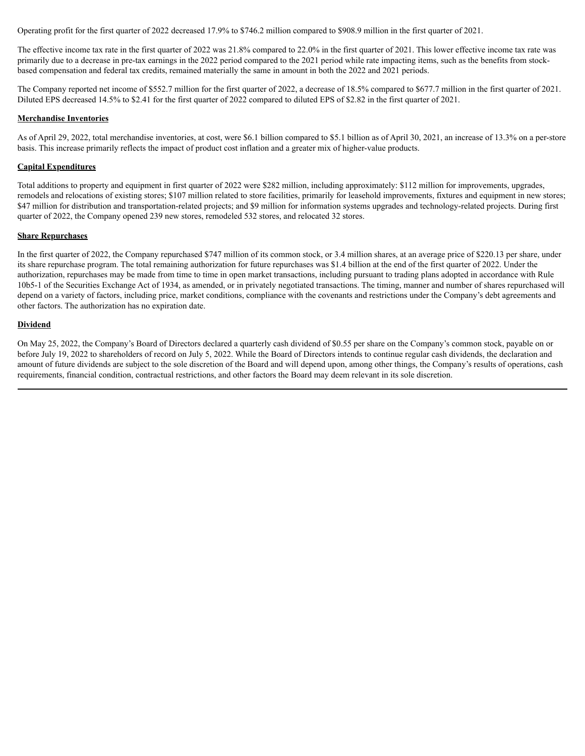Operating profit for the first quarter of 2022 decreased 17.9% to \$746.2 million compared to \$908.9 million in the first quarter of 2021.

The effective income tax rate in the first quarter of 2022 was 21.8% compared to 22.0% in the first quarter of 2021. This lower effective income tax rate was primarily due to a decrease in pre-tax earnings in the 2022 period compared to the 2021 period while rate impacting items, such as the benefits from stockbased compensation and federal tax credits, remained materially the same in amount in both the 2022 and 2021 periods.

The Company reported net income of \$552.7 million for the first quarter of 2022, a decrease of 18.5% compared to \$677.7 million in the first quarter of 2021. Diluted EPS decreased 14.5% to \$2.41 for the first quarter of 2022 compared to diluted EPS of \$2.82 in the first quarter of 2021.

#### **Merchandise Inventories**

As of April 29, 2022, total merchandise inventories, at cost, were \$6.1 billion compared to \$5.1 billion as of April 30, 2021, an increase of 13.3% on a per-store basis. This increase primarily reflects the impact of product cost inflation and a greater mix of higher-value products.

#### **Capital Expenditures**

Total additions to property and equipment in first quarter of 2022 were \$282 million, including approximately: \$112 million for improvements, upgrades, remodels and relocations of existing stores; \$107 million related to store facilities, primarily for leasehold improvements, fixtures and equipment in new stores; \$47 million for distribution and transportation-related projects; and \$9 million for information systems upgrades and technology-related projects. During first quarter of 2022, the Company opened 239 new stores, remodeled 532 stores, and relocated 32 stores.

#### **Share Repurchases**

In the first quarter of 2022, the Company repurchased \$747 million of its common stock, or 3.4 million shares, at an average price of \$220.13 per share, under its share repurchase program. The total remaining authorization for future repurchases was \$1.4 billion at the end of the first quarter of 2022. Under the authorization, repurchases may be made from time to time in open market transactions, including pursuant to trading plans adopted in accordance with Rule 10b5-1 of the Securities Exchange Act of 1934, as amended, or in privately negotiated transactions. The timing, manner and number of shares repurchased will depend on a variety of factors, including price, market conditions, compliance with the covenants and restrictions under the Company's debt agreements and other factors. The authorization has no expiration date.

#### **Dividend**

On May 25, 2022, the Company's Board of Directors declared a quarterly cash dividend of \$0.55 per share on the Company's common stock, payable on or before July 19, 2022 to shareholders of record on July 5, 2022. While the Board of Directors intends to continue regular cash dividends, the declaration and amount of future dividends are subject to the sole discretion of the Board and will depend upon, among other things, the Company's results of operations, cash requirements, financial condition, contractual restrictions, and other factors the Board may deem relevant in its sole discretion.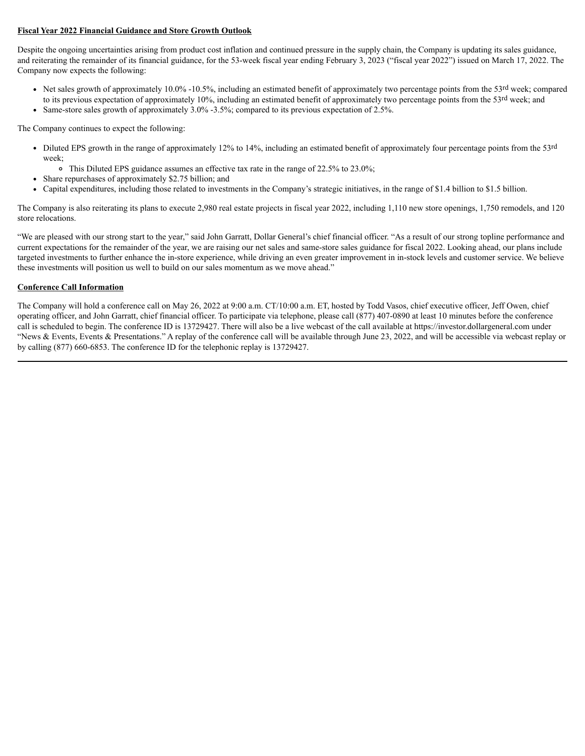### **Fiscal Year 2022 Financial Guidance and Store Growth Outlook**

Despite the ongoing uncertainties arising from product cost inflation and continued pressure in the supply chain, the Company is updating its sales guidance, and reiterating the remainder of its financial guidance, for the 53-week fiscal year ending February 3, 2023 ("fiscal year 2022") issued on March 17, 2022. The Company now expects the following:

• Net sales growth of approximately  $10.0\%$  -10.5%, including an estimated benefit of approximately two percentage points from the 53<sup>rd</sup> week; compared to its previous expectation of approximately 10%, including an estimated benefit of approximately two percentage points from the 53rd week; and Same-store sales growth of approximately 3.0% -3.5%; compared to its previous expectation of 2.5%.

The Company continues to expect the following:

- Diluted EPS growth in the range of approximately 12% to 14%, including an estimated benefit of approximately four percentage points from the 53rd week;
	- This Diluted EPS guidance assumes an effective tax rate in the range of 22.5% to 23.0%;
- Share repurchases of approximately \$2.75 billion; and
- Capital expenditures, including those related to investments in the Company's strategic initiatives, in the range of \$1.4 billion to \$1.5 billion.

The Company is also reiterating its plans to execute 2,980 real estate projects in fiscal year 2022, including 1,110 new store openings, 1,750 remodels, and 120 store relocations.

"We are pleased with our strong start to the year," said John Garratt, Dollar General's chief financial officer. "As a result of our strong topline performance and current expectations for the remainder of the year, we are raising our net sales and same-store sales guidance for fiscal 2022. Looking ahead, our plans include targeted investments to further enhance the in-store experience, while driving an even greater improvement in in-stock levels and customer service. We believe these investments will position us well to build on our sales momentum as we move ahead."

### **Conference Call Information**

The Company will hold a conference call on May 26, 2022 at 9:00 a.m. CT/10:00 a.m. ET, hosted by Todd Vasos, chief executive officer, Jeff Owen, chief operating officer, and John Garratt, chief financial officer. To participate via telephone, please call (877) 407-0890 at least 10 minutes before the conference call is scheduled to begin. The conference ID is 13729427. There will also be a live webcast of the call available at https://investor.dollargeneral.com under "News & Events, Events & Presentations." A replay of the conference call will be available through June 23, 2022, and will be accessible via webcast replay or by calling (877) 660-6853. The conference ID for the telephonic replay is 13729427.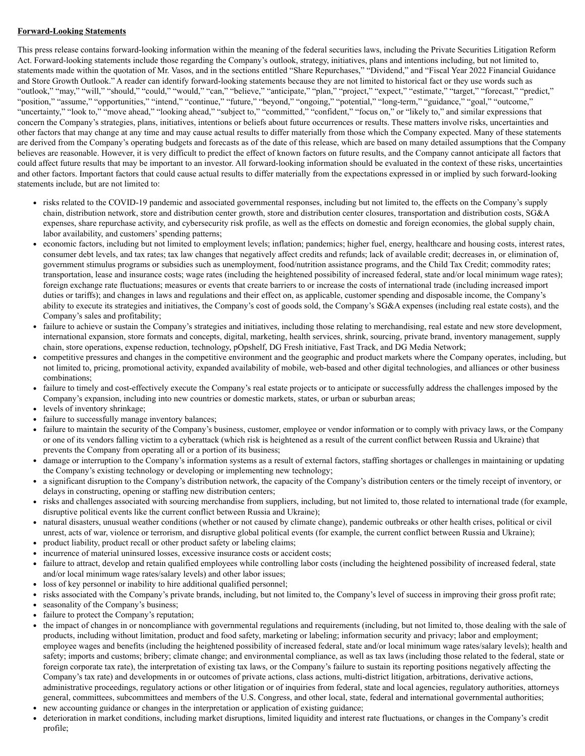#### **Forward-Looking Statements**

This press release contains forward-looking information within the meaning of the federal securities laws, including the Private Securities Litigation Reform Act. Forward-looking statements include those regarding the Company's outlook, strategy, initiatives, plans and intentions including, but not limited to, statements made within the quotation of Mr. Vasos, and in the sections entitled "Share Repurchases," "Dividend," and "Fiscal Year 2022 Financial Guidance and Store Growth Outlook." A reader can identify forward-looking statements because they are not limited to historical fact or they use words such as "outlook," "may," "will," "should," "could," "would," "can," "believe," "anticipate," "plan," "project," "expect," "estimate," "target," "forecast," "predict," "position," "assume," "opportunities," "intend," "continue," "future," "beyond," "ongoing," "potential," "long-term," "guidance," "goal," "outcome," "uncertainty," "look to," "move ahead," "looking ahead," "subject to," "committed," "confident," "focus on," or "likely to," and similar expressions that concern the Company's strategies, plans, initiatives, intentions or beliefs about future occurrences or results. These matters involve risks, uncertainties and other factors that may change at any time and may cause actual results to differ materially from those which the Company expected. Many of these statements are derived from the Company's operating budgets and forecasts as of the date of this release, which are based on many detailed assumptions that the Company believes are reasonable. However, it is very difficult to predict the effect of known factors on future results, and the Company cannot anticipate all factors that could affect future results that may be important to an investor. All forward-looking information should be evaluated in the context of these risks, uncertainties and other factors. Important factors that could cause actual results to differ materially from the expectations expressed in or implied by such forward-looking statements include, but are not limited to:

- risks related to the COVID-19 pandemic and associated governmental responses, including but not limited to, the effects on the Company's supply chain, distribution network, store and distribution center growth, store and distribution center closures, transportation and distribution costs, SG&A expenses, share repurchase activity, and cybersecurity risk profile, as well as the effects on domestic and foreign economies, the global supply chain, labor availability, and customers' spending patterns;
- economic factors, including but not limited to employment levels; inflation; pandemics; higher fuel, energy, healthcare and housing costs, interest rates, consumer debt levels, and tax rates; tax law changes that negatively affect credits and refunds; lack of available credit; decreases in, or elimination of, government stimulus programs or subsidies such as unemployment, food/nutrition assistance programs, and the Child Tax Credit; commodity rates; transportation, lease and insurance costs; wage rates (including the heightened possibility of increased federal, state and/or local minimum wage rates); foreign exchange rate fluctuations; measures or events that create barriers to or increase the costs of international trade (including increased import duties or tariffs); and changes in laws and regulations and their effect on, as applicable, customer spending and disposable income, the Company's ability to execute its strategies and initiatives, the Company's cost of goods sold, the Company's SG&A expenses (including real estate costs), and the Company's sales and profitability;
- failure to achieve or sustain the Company's strategies and initiatives, including those relating to merchandising, real estate and new store development, international expansion, store formats and concepts, digital, marketing, health services, shrink, sourcing, private brand, inventory management, supply chain, store operations, expense reduction, technology, pOpshelf, DG Fresh initiative, Fast Track, and DG Media Network;
- competitive pressures and changes in the competitive environment and the geographic and product markets where the Company operates, including, but not limited to, pricing, promotional activity, expanded availability of mobile, web-based and other digital technologies, and alliances or other business combinations;
- failure to timely and cost-effectively execute the Company's real estate projects or to anticipate or successfully address the challenges imposed by the Company's expansion, including into new countries or domestic markets, states, or urban or suburban areas;
- levels of inventory shrinkage;
- failure to successfully manage inventory balances;
- $\bullet$ failure to maintain the security of the Company's business, customer, employee or vendor information or to comply with privacy laws, or the Company or one of its vendors falling victim to a cyberattack (which risk is heightened as a result of the current conflict between Russia and Ukraine) that prevents the Company from operating all or a portion of its business;
- damage or interruption to the Company's information systems as a result of external factors, staffing shortages or challenges in maintaining or updating the Company's existing technology or developing or implementing new technology;
- a significant disruption to the Company's distribution network, the capacity of the Company's distribution centers or the timely receipt of inventory, or delays in constructing, opening or staffing new distribution centers;
- risks and challenges associated with sourcing merchandise from suppliers, including, but not limited to, those related to international trade (for example, disruptive political events like the current conflict between Russia and Ukraine);
- natural disasters, unusual weather conditions (whether or not caused by climate change), pandemic outbreaks or other health crises, political or civil unrest, acts of war, violence or terrorism, and disruptive global political events (for example, the current conflict between Russia and Ukraine);
- product liability, product recall or other product safety or labeling claims;
- incurrence of material uninsured losses, excessive insurance costs or accident costs;
- failure to attract, develop and retain qualified employees while controlling labor costs (including the heightened possibility of increased federal, state  $\bullet$ and/or local minimum wage rates/salary levels) and other labor issues;
- loss of key personnel or inability to hire additional qualified personnel;
- risks associated with the Company's private brands, including, but not limited to, the Company's level of success in improving their gross profit rate;
- seasonality of the Company's business;
- failure to protect the Company's reputation;
- the impact of changes in or noncompliance with governmental regulations and requirements (including, but not limited to, those dealing with the sale of products, including without limitation, product and food safety, marketing or labeling; information security and privacy; labor and employment; employee wages and benefits (including the heightened possibility of increased federal, state and/or local minimum wage rates/salary levels); health and safety; imports and customs; bribery; climate change; and environmental compliance, as well as tax laws (including those related to the federal, state or foreign corporate tax rate), the interpretation of existing tax laws, or the Company's failure to sustain its reporting positions negatively affecting the Company's tax rate) and developments in or outcomes of private actions, class actions, multi-district litigation, arbitrations, derivative actions, administrative proceedings, regulatory actions or other litigation or of inquiries from federal, state and local agencies, regulatory authorities, attorneys general, committees, subcommittees and members of the U.S. Congress, and other local, state, federal and international governmental authorities;
- new accounting guidance or changes in the interpretation or application of existing guidance;
- deterioration in market conditions, including market disruptions, limited liquidity and interest rate fluctuations, or changes in the Company's credit profile;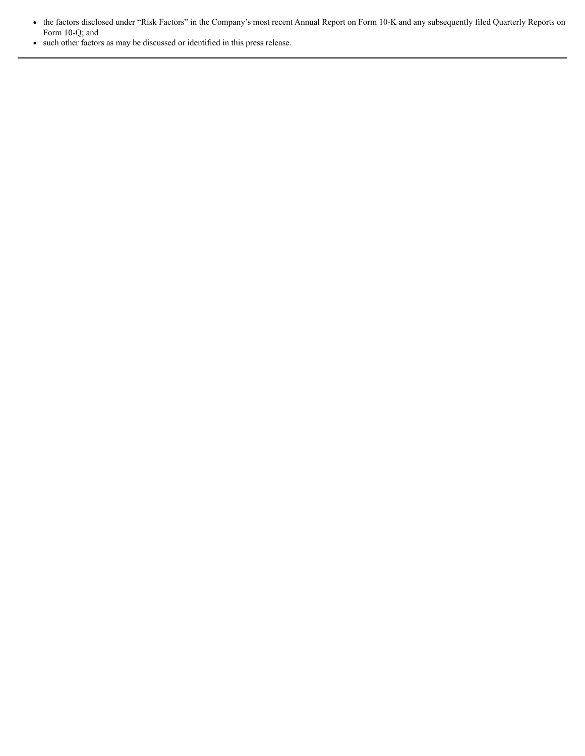the factors disclosed under "Risk Factors" in the Company's most recent Annual Report on Form 10-K and any subsequently filed Quarterly Reports on Form 10-Q; and

such other factors as may be discussed or identified in this press release.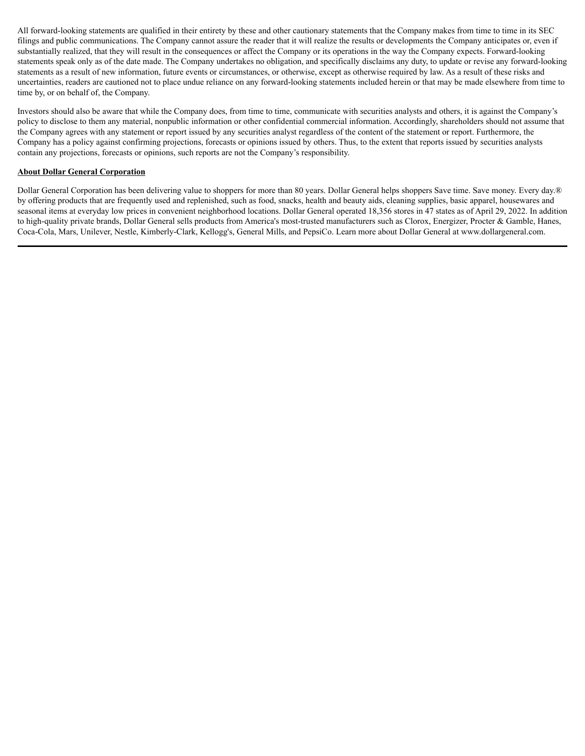All forward-looking statements are qualified in their entirety by these and other cautionary statements that the Company makes from time to time in its SEC filings and public communications. The Company cannot assure the reader that it will realize the results or developments the Company anticipates or, even if substantially realized, that they will result in the consequences or affect the Company or its operations in the way the Company expects. Forward-looking statements speak only as of the date made. The Company undertakes no obligation, and specifically disclaims any duty, to update or revise any forward-looking statements as a result of new information, future events or circumstances, or otherwise, except as otherwise required by law. As a result of these risks and uncertainties, readers are cautioned not to place undue reliance on any forward-looking statements included herein or that may be made elsewhere from time to time by, or on behalf of, the Company.

Investors should also be aware that while the Company does, from time to time, communicate with securities analysts and others, it is against the Company's policy to disclose to them any material, nonpublic information or other confidential commercial information. Accordingly, shareholders should not assume that the Company agrees with any statement or report issued by any securities analyst regardless of the content of the statement or report. Furthermore, the Company has a policy against confirming projections, forecasts or opinions issued by others. Thus, to the extent that reports issued by securities analysts contain any projections, forecasts or opinions, such reports are not the Company's responsibility.

#### **About Dollar General Corporation**

Dollar General Corporation has been delivering value to shoppers for more than 80 years. Dollar General helps shoppers Save time. Save money. Every day.® by offering products that are frequently used and replenished, such as food, snacks, health and beauty aids, cleaning supplies, basic apparel, housewares and seasonal items at everyday low prices in convenient neighborhood locations. Dollar General operated 18,356 stores in 47 states as of April 29, 2022. In addition to high-quality private brands, Dollar General sells products from America's most-trusted manufacturers such as Clorox, Energizer, Procter & Gamble, Hanes, Coca-Cola, Mars, Unilever, Nestle, Kimberly-Clark, Kellogg's, General Mills, and PepsiCo. Learn more about Dollar General at www.dollargeneral.com.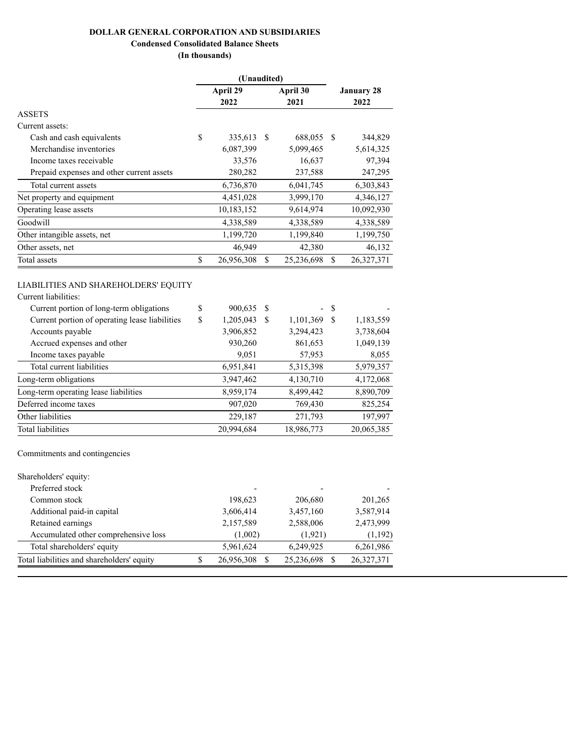# **DOLLAR GENERAL CORPORATION AND SUBSIDIARIES**

# **Condensed Consolidated Balance Sheets**

**(In thousands)**

|                                           | (Unaudited) |            |          |                   |   |            |
|-------------------------------------------|-------------|------------|----------|-------------------|---|------------|
|                                           | April 29    |            | April 30 | <b>January 28</b> |   |            |
|                                           |             | 2022       |          | 2021              |   | 2022       |
| <b>ASSETS</b>                             |             |            |          |                   |   |            |
| Current assets:                           |             |            |          |                   |   |            |
| Cash and cash equivalents                 | \$          | 335,613    | - S      | 688,055 \$        |   | 344,829    |
| Merchandise inventories                   |             | 6,087,399  |          | 5,099,465         |   | 5,614,325  |
| Income taxes receivable                   |             | 33,576     |          | 16,637            |   | 97,394     |
| Prepaid expenses and other current assets |             | 280,282    |          | 237,588           |   | 247,295    |
| Total current assets                      |             | 6,736,870  |          | 6,041,745         |   | 6,303,843  |
| Net property and equipment                |             | 4,451,028  |          | 3,999,170         |   | 4,346,127  |
| Operating lease assets                    |             | 10,183,152 |          | 9,614,974         |   | 10,092,930 |
| Goodwill                                  |             | 4,338,589  |          | 4,338,589         |   | 4,338,589  |
| Other intangible assets, net              |             | 1,199,720  |          | 1,199,840         |   | 1,199,750  |
| Other assets, net                         |             | 46,949     |          | 42,380            |   | 46,132     |
| Total assets                              | \$          | 26,956,308 | S        | 25,236,698        | S | 26,327,371 |
|                                           |             |            |          |                   |   |            |

# LIABILITIES AND SHAREHOLDERS' EQUITY

| Current liabilities:                           |                 |     |            |      |            |
|------------------------------------------------|-----------------|-----|------------|------|------------|
| Current portion of long-term obligations       | \$<br>900,635   | - S |            | - \$ |            |
| Current portion of operating lease liabilities | \$<br>1,205,043 | -S  | 1,101,369  | S    | 1,183,559  |
| Accounts payable                               | 3,906,852       |     | 3,294,423  |      | 3,738,604  |
| Accrued expenses and other                     | 930,260         |     | 861,653    |      | 1,049,139  |
| Income taxes payable                           | 9,051           |     | 57,953     |      | 8,055      |
| Total current liabilities                      | 6,951,841       |     | 5,315,398  |      | 5,979,357  |
| Long-term obligations                          | 3,947,462       |     | 4,130,710  |      | 4,172,068  |
| Long-term operating lease liabilities          | 8,959,174       |     | 8,499,442  |      | 8,890,709  |
| Deferred income taxes                          | 907,020         |     | 769,430    |      | 825,254    |
| Other liabilities                              | 229,187         |     | 271,793    |      | 197,997    |
| <b>Total liabilities</b>                       | 20.994.684      |     | 18,986,773 |      | 20,065,385 |

Commitments and contingencies

|   |            | $\overline{\phantom{a}}$ |            |
|---|------------|--------------------------|------------|
|   | 198,623    | 206,680                  | 201,265    |
|   | 3,606,414  | 3,457,160                | 3,587,914  |
|   | 2,157,589  | 2,588,006                | 2,473,999  |
|   | (1,002)    | (1,921)                  | (1,192)    |
|   | 5,961,624  | 6,249,925                | 6,261,986  |
| S | 26,956,308 | 25,236,698               | 26,327,371 |
|   |            |                          |            |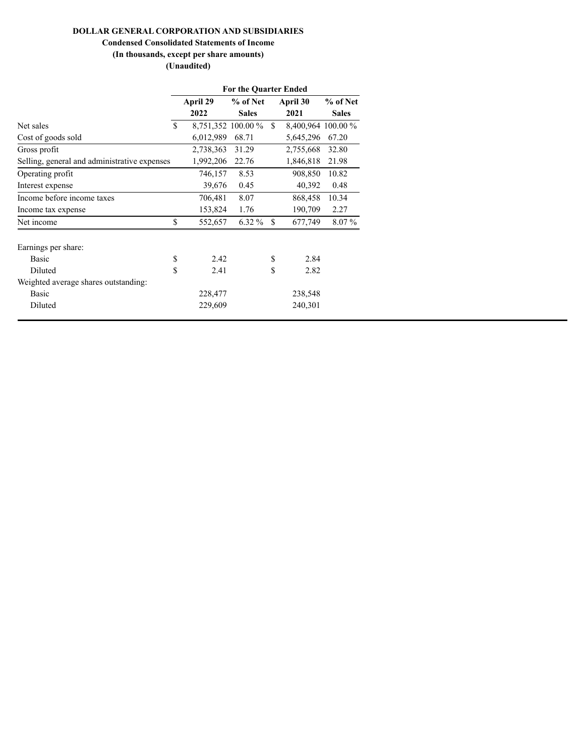# **DOLLAR GENERAL CORPORATION AND SUBSIDIARIES**

# **Condensed Consolidated Statements of Income**

# **(In thousands, except per share amounts) (Unaudited)**

|                                              | <b>For the Quarter Ended</b> |           |                    |               |                    |              |  |
|----------------------------------------------|------------------------------|-----------|--------------------|---------------|--------------------|--------------|--|
|                                              | April 29                     |           | % of Net           |               | April 30           | % of Net     |  |
|                                              |                              | 2022      | <b>Sales</b>       |               | 2021               | <b>Sales</b> |  |
| Net sales                                    | \$                           |           | 8,751,352 100.00 % | \$            | 8,400,964 100.00 % |              |  |
| Cost of goods sold                           |                              | 6,012,989 | 68.71              |               | 5,645,296          | 67.20        |  |
| Gross profit                                 |                              | 2,738,363 | 31.29              |               | 2,755,668          | 32.80        |  |
| Selling, general and administrative expenses |                              | 1,992,206 | 22.76              |               | 1,846,818          | 21.98        |  |
| Operating profit                             |                              | 746,157   | 8.53               |               | 908,850            | 10.82        |  |
| Interest expense                             |                              | 39,676    | 0.45               |               | 40,392             | 0.48         |  |
| Income before income taxes                   |                              | 706,481   | 8.07               |               | 868,458            | 10.34        |  |
| Income tax expense                           |                              | 153,824   | 1.76               |               | 190,709            | 2.27         |  |
| Net income                                   | \$                           | 552,657   | $6.32\%$           | <sup>\$</sup> | 677,749            | 8.07%        |  |
| Earnings per share:                          |                              |           |                    |               |                    |              |  |
| <b>Basic</b>                                 | \$                           | 2.42      |                    | \$            | 2.84               |              |  |
| Diluted                                      | \$                           | 2.41      |                    | \$            | 2.82               |              |  |
| Weighted average shares outstanding:         |                              |           |                    |               |                    |              |  |
| <b>Basic</b>                                 |                              | 228,477   |                    |               | 238,548            |              |  |
| Diluted                                      |                              | 229,609   |                    |               | 240,301            |              |  |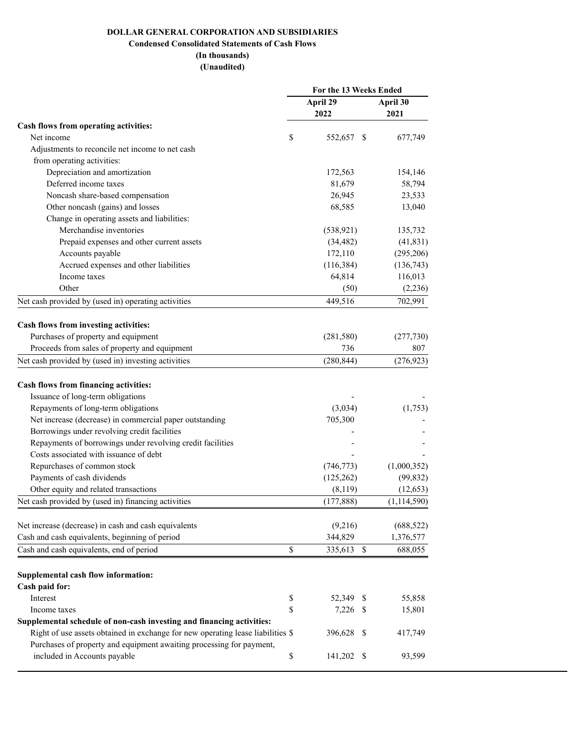# **DOLLAR GENERAL CORPORATION AND SUBSIDIARIES**

# **Condensed Consolidated Statements of Cash Flows**

# **(In thousands) (Unaudited)**

|                                                                                 | For the 13 Weeks Ended |                          |               |  |
|---------------------------------------------------------------------------------|------------------------|--------------------------|---------------|--|
|                                                                                 |                        | April 29                 | April 30      |  |
|                                                                                 |                        | 2022                     | 2021          |  |
| Cash flows from operating activities:                                           |                        |                          |               |  |
| Net income                                                                      | \$                     | 552,657 \$               | 677,749       |  |
| Adjustments to reconcile net income to net cash                                 |                        |                          |               |  |
| from operating activities:                                                      |                        |                          |               |  |
| Depreciation and amortization                                                   |                        | 172,563                  | 154,146       |  |
| Deferred income taxes                                                           |                        | 81,679                   | 58,794        |  |
| Noncash share-based compensation                                                |                        | 26,945                   | 23,533        |  |
| Other noncash (gains) and losses                                                |                        | 68,585                   | 13,040        |  |
| Change in operating assets and liabilities:                                     |                        |                          |               |  |
| Merchandise inventories                                                         |                        | (538, 921)               | 135,732       |  |
| Prepaid expenses and other current assets                                       |                        | (34, 482)                | (41, 831)     |  |
| Accounts payable                                                                |                        | 172,110                  | (295, 206)    |  |
| Accrued expenses and other liabilities                                          |                        | (116, 384)               | (136,743)     |  |
| Income taxes                                                                    |                        | 64,814                   | 116,013       |  |
| Other                                                                           |                        | (50)                     | (2, 236)      |  |
| Net cash provided by (used in) operating activities                             |                        | 449,516                  | 702,991       |  |
|                                                                                 |                        |                          |               |  |
| Cash flows from investing activities:                                           |                        |                          |               |  |
| Purchases of property and equipment                                             |                        | (281, 580)               | (277, 730)    |  |
| Proceeds from sales of property and equipment                                   |                        | 736                      | 807           |  |
| Net cash provided by (used in) investing activities                             |                        | (280, 844)               | (276, 923)    |  |
|                                                                                 |                        |                          |               |  |
| Cash flows from financing activities:                                           |                        |                          |               |  |
| Issuance of long-term obligations                                               |                        |                          |               |  |
| Repayments of long-term obligations                                             |                        | (3,034)                  | (1,753)       |  |
| Net increase (decrease) in commercial paper outstanding                         |                        | 705,300                  |               |  |
| Borrowings under revolving credit facilities                                    |                        |                          |               |  |
| Repayments of borrowings under revolving credit facilities                      |                        |                          |               |  |
| Costs associated with issuance of debt                                          |                        |                          |               |  |
| Repurchases of common stock                                                     |                        | (746, 773)               | (1,000,352)   |  |
| Payments of cash dividends                                                      |                        | (125, 262)               | (99, 832)     |  |
| Other equity and related transactions                                           |                        | (8,119)                  | (12, 653)     |  |
| Net cash provided by (used in) financing activities                             |                        | (177, 888)               | (1, 114, 590) |  |
|                                                                                 |                        |                          |               |  |
| Net increase (decrease) in cash and cash equivalents                            |                        | (9,216)                  | (688, 522)    |  |
| Cash and cash equivalents, beginning of period                                  |                        | 344,829                  | 1,376,577     |  |
| Cash and cash equivalents, end of period                                        | \$                     | 335,613<br>$\mathcal{S}$ | 688,055       |  |
| Supplemental cash flow information:                                             |                        |                          |               |  |
| Cash paid for:                                                                  |                        |                          |               |  |
| Interest                                                                        | \$                     | 52,349 \$                | 55,858        |  |
| Income taxes                                                                    | \$                     | $7,226$ \$               | 15,801        |  |
| Supplemental schedule of non-cash investing and financing activities:           |                        |                          |               |  |
| Right of use assets obtained in exchange for new operating lease liabilities \$ |                        | 396,628 \$               | 417,749       |  |
| Purchases of property and equipment awaiting processing for payment,            |                        |                          |               |  |
| included in Accounts payable                                                    | \$                     | 141,202 \$               | 93,599        |  |
|                                                                                 |                        |                          |               |  |